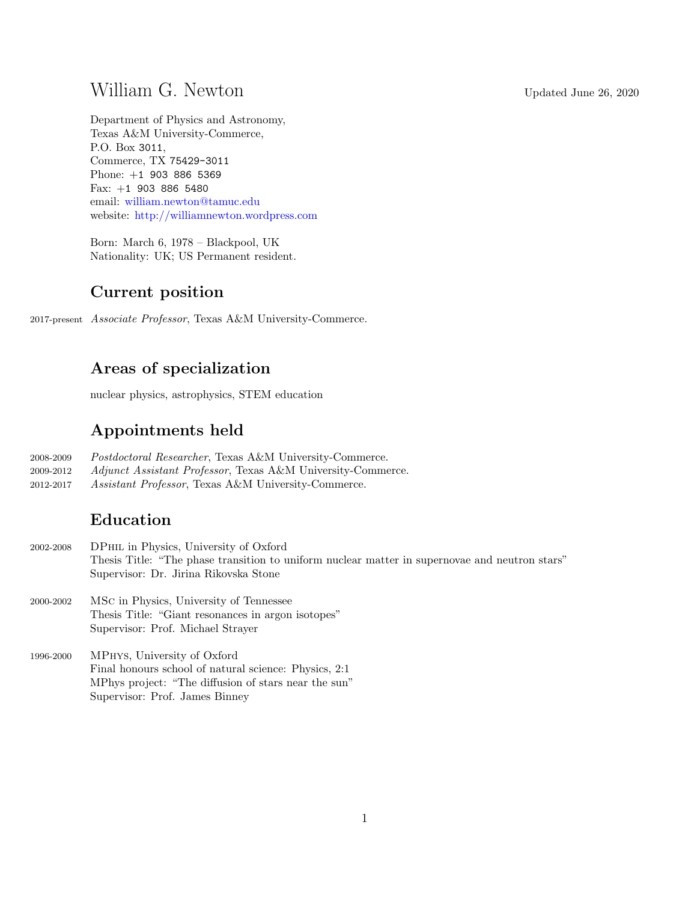# William G. Newton Updated June 26, 2020

Department of Physics and Astronomy, Texas A&M University-Commerce, P.O. Box 3011, Commerce, TX 75429-3011 Phone: +1 903 886 5369 Fax: +1 903 886 5480 email: [william.newton@tamuc.edu](mailto:william.newton@tamuc.edu) website: <http://williamnewton.wordpress.com>

Born: March 6, 1978 – Blackpool, UK Nationality: UK; US Permanent resident.

## Current position

2017-present Associate Professor, Texas A&M University-Commerce.

## Areas of specialization

nuclear physics, astrophysics, STEM education

## Appointments held

- 2008-2009 Postdoctoral Researcher, Texas A&M University-Commerce.
- 2009-2012 Adjunct Assistant Professor, Texas A&M University-Commerce.
- 2012-2017 Assistant Professor, Texas A&M University-Commerce.

## Education

- 2002-2008 DPhil in Physics, University of Oxford Thesis Title: "The phase transition to uniform nuclear matter in supernovae and neutron stars" Supervisor: Dr. Jirina Rikovska Stone
- 2000-2002 MSc in Physics, University of Tennessee Thesis Title: "Giant resonances in argon isotopes" Supervisor: Prof. Michael Strayer
- 1996-2000 MPhys, University of Oxford Final honours school of natural science: Physics, 2:1 MPhys project: "The diffusion of stars near the sun" Supervisor: Prof. James Binney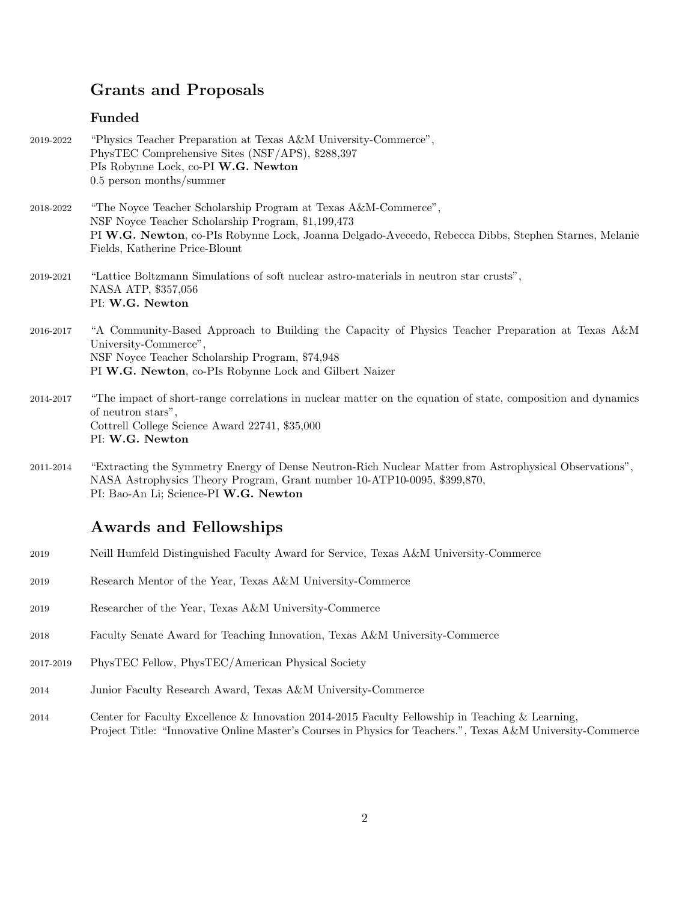# Grants and Proposals

## Funded

| 2019-2022 | "Physics Teacher Preparation at Texas A&M University-Commerce",<br>PhysTEC Comprehensive Sites (NSF/APS), \$288,397<br>PIs Robynne Lock, co-PI W.G. Newton<br>$0.5$ person months/summer                                                                       |
|-----------|----------------------------------------------------------------------------------------------------------------------------------------------------------------------------------------------------------------------------------------------------------------|
| 2018-2022 | "The Noyce Teacher Scholarship Program at Texas A&M-Commerce",<br>NSF Noyce Teacher Scholarship Program, \$1,199,473<br>PI W.G. Newton, co-PIs Robynne Lock, Joanna Delgado-Avecedo, Rebecca Dibbs, Stephen Starnes, Melanie<br>Fields, Katherine Price-Blount |
| 2019-2021 | "Lattice Boltzmann Simulations of soft nuclear astro-materials in neutron star crusts",<br>NASA ATP, \$357,056<br>PI: W.G. Newton                                                                                                                              |
| 2016-2017 | "A Community-Based Approach to Building the Capacity of Physics Teacher Preparation at Texas A&M<br>University-Commerce",<br>NSF Noyce Teacher Scholarship Program, \$74,948<br>PI W.G. Newton, co-PIs Robynne Lock and Gilbert Naizer                         |
| 2014-2017 | "The impact of short-range correlations in nuclear matter on the equation of state, composition and dynamics<br>of neutron stars",<br>Cottrell College Science Award 22741, \$35,000<br>PI: W.G. Newton                                                        |
| 2011-2014 | "Extracting the Symmetry Energy of Dense Neutron-Rich Nuclear Matter from Astrophysical Observations",<br>NASA Astrophysics Theory Program, Grant number 10-ATP10-0095, \$399,870,<br>PI: Bao-An Li; Science-PI W.G. Newton                                    |
|           | <b>Awards and Fellowships</b>                                                                                                                                                                                                                                  |
| 2019      | Neill Humfeld Distinguished Faculty Award for Service, Texas A&M University-Commerce                                                                                                                                                                           |
| 2019      | Research Mentor of the Year, Texas A&M University-Commerce                                                                                                                                                                                                     |
| 2019      | Researcher of the Year, Texas A&M University-Commerce                                                                                                                                                                                                          |
| 2018      | Faculty Senate Award for Teaching Innovation, Texas A&M University-Commerce                                                                                                                                                                                    |
| 2017-2019 | PhysTEC Fellow, PhysTEC/American Physical Society                                                                                                                                                                                                              |
| 2014      | Junior Faculty Research Award, Texas A&M University-Commerce                                                                                                                                                                                                   |
| 2014      | Center for Faculty Excellence & Innovation 2014-2015 Faculty Fellowship in Teaching & Learning,<br>Project Title: "Innovative Online Master's Courses in Physics for Teachers.", Texas A&M University-Commerce                                                 |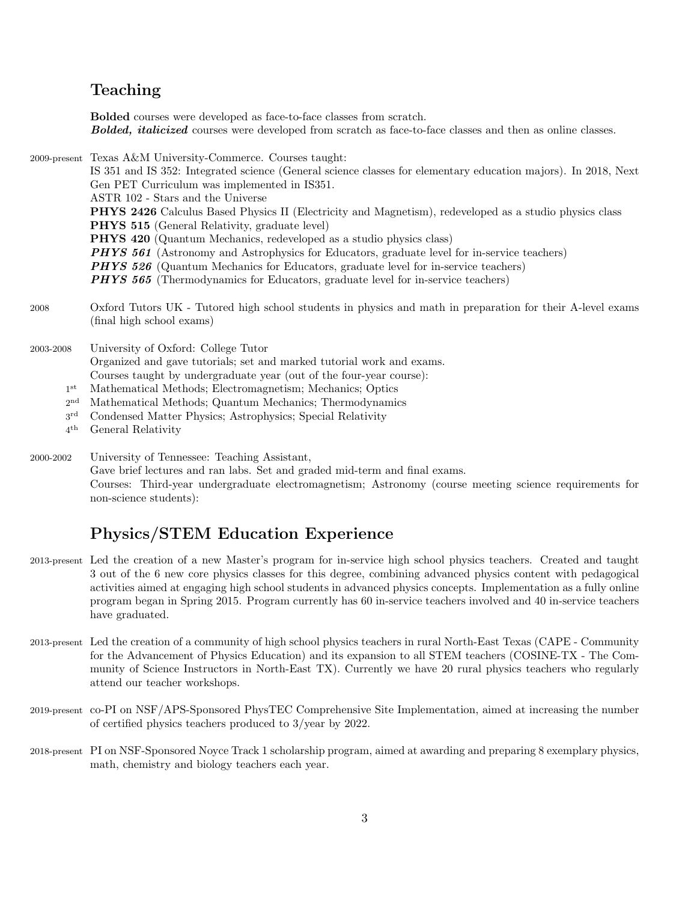## Teaching

Bolded courses were developed as face-to-face classes from scratch. **Bolded, italicized** courses were developed from scratch as face-to-face classes and then as online classes.

2009-present Texas A&M University-Commerce. Courses taught:

IS 351 and IS 352: Integrated science (General science classes for elementary education majors). In 2018, Next Gen PET Curriculum was implemented in IS351. ASTR 102 - Stars and the Universe

PHYS 2426 Calculus Based Physics II (Electricity and Magnetism), redeveloped as a studio physics class PHYS 515 (General Relativity, graduate level)

PHYS 420 (Quantum Mechanics, redeveloped as a studio physics class)

- **PHYS 561** (Astronomy and Astrophysics for Educators, graduate level for in-service teachers)
- 
- **PHYS 526** (Quantum Mechanics for Educators, graduate level for in-service teachers)
- **PHYS 565** (Thermodynamics for Educators, graduate level for in-service teachers)
- 2008 Oxford Tutors UK Tutored high school students in physics and math in preparation for their A-level exams (final high school exams)

2003-2008 University of Oxford: College Tutor Organized and gave tutorials; set and marked tutorial work and exams. Courses taught by undergraduate year (out of the four-year course):

- $1^{\rm st}$ Mathematical Methods; Electromagnetism; Mechanics; Optics
- $2^{\mathrm{nd}}$ Mathematical Methods; Quantum Mechanics; Thermodynamics
- $3^{\mathrm{rd}}$ Condensed Matter Physics; Astrophysics; Special Relativity
- $4^{\rm th}$ General Relativity

2000-2002 University of Tennessee: Teaching Assistant, Gave brief lectures and ran labs. Set and graded mid-term and final exams. Courses: Third-year undergraduate electromagnetism; Astronomy (course meeting science requirements for non-science students):

## Physics/STEM Education Experience

- 2013-present Led the creation of a new Master's program for in-service high school physics teachers. Created and taught 3 out of the 6 new core physics classes for this degree, combining advanced physics content with pedagogical activities aimed at engaging high school students in advanced physics concepts. Implementation as a fully online program began in Spring 2015. Program currently has 60 in-service teachers involved and 40 in-service teachers have graduated.
- 2013-present Led the creation of a community of high school physics teachers in rural North-East Texas (CAPE Community for the Advancement of Physics Education) and its expansion to all STEM teachers (COSINE-TX - The Community of Science Instructors in North-East TX). Currently we have 20 rural physics teachers who regularly attend our teacher workshops.
- 2019-present co-PI on NSF/APS-Sponsored PhysTEC Comprehensive Site Implementation, aimed at increasing the number of certified physics teachers produced to 3/year by 2022.
- 2018-present PI on NSF-Sponsored Noyce Track 1 scholarship program, aimed at awarding and preparing 8 exemplary physics, math, chemistry and biology teachers each year.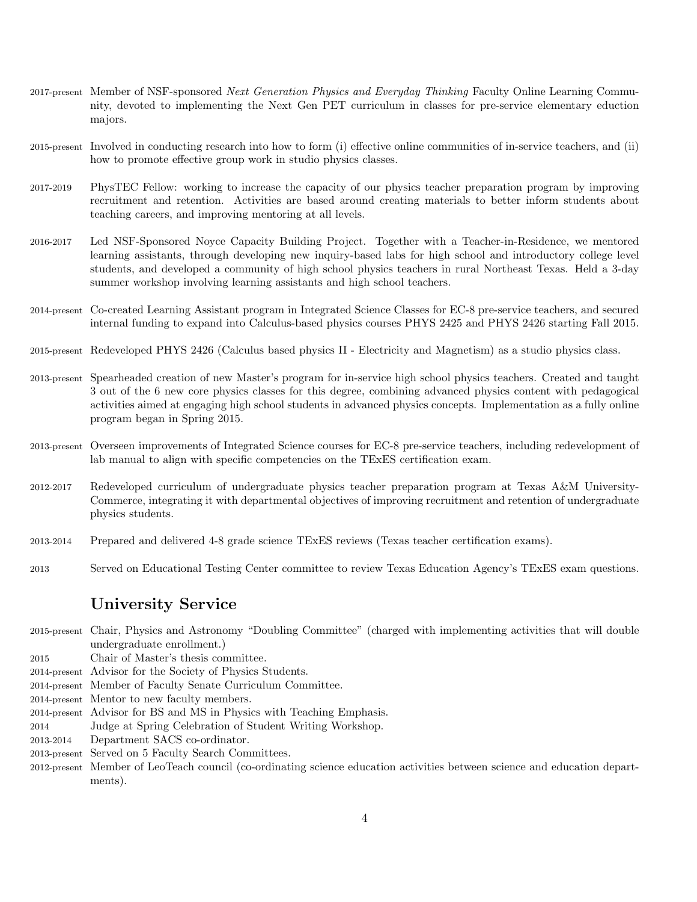- 2017-present Member of NSF-sponsored Next Generation Physics and Everyday Thinking Faculty Online Learning Community, devoted to implementing the Next Gen PET curriculum in classes for pre-service elementary eduction majors.
- 2015-present Involved in conducting research into how to form (i) effective online communities of in-service teachers, and (ii) how to promote effective group work in studio physics classes.
- 2017-2019 PhysTEC Fellow: working to increase the capacity of our physics teacher preparation program by improving recruitment and retention. Activities are based around creating materials to better inform students about teaching careers, and improving mentoring at all levels.
- 2016-2017 Led NSF-Sponsored Noyce Capacity Building Project. Together with a Teacher-in-Residence, we mentored learning assistants, through developing new inquiry-based labs for high school and introductory college level students, and developed a community of high school physics teachers in rural Northeast Texas. Held a 3-day summer workshop involving learning assistants and high school teachers.
- 2014-present Co-created Learning Assistant program in Integrated Science Classes for EC-8 pre-service teachers, and secured internal funding to expand into Calculus-based physics courses PHYS 2425 and PHYS 2426 starting Fall 2015.
- 2015-present Redeveloped PHYS 2426 (Calculus based physics II Electricity and Magnetism) as a studio physics class.
- 2013-present Spearheaded creation of new Master's program for in-service high school physics teachers. Created and taught 3 out of the 6 new core physics classes for this degree, combining advanced physics content with pedagogical activities aimed at engaging high school students in advanced physics concepts. Implementation as a fully online program began in Spring 2015.
- 2013-present Overseen improvements of Integrated Science courses for EC-8 pre-service teachers, including redevelopment of lab manual to align with specific competencies on the TExES certification exam.
- 2012-2017 Redeveloped curriculum of undergraduate physics teacher preparation program at Texas A&M University-Commerce, integrating it with departmental objectives of improving recruitment and retention of undergraduate physics students.
- 2013-2014 Prepared and delivered 4-8 grade science TExES reviews (Texas teacher certification exams).
- 2013 Served on Educational Testing Center committee to review Texas Education Agency's TExES exam questions.

### University Service

- 2015-present Chair, Physics and Astronomy "Doubling Committee" (charged with implementing activities that will double undergraduate enrollment.)
- 2015 Chair of Master's thesis committee.
- 2014-present Advisor for the Society of Physics Students.
- 2014-present Member of Faculty Senate Curriculum Committee.
- 2014-present Mentor to new faculty members.
- 2014-present Advisor for BS and MS in Physics with Teaching Emphasis.
- 2014 Judge at Spring Celebration of Student Writing Workshop.
- 2013-2014 Department SACS co-ordinator.
- 2013-present Served on 5 Faculty Search Committees.
- 2012-present Member of LeoTeach council (co-ordinating science education activities between science and education departments).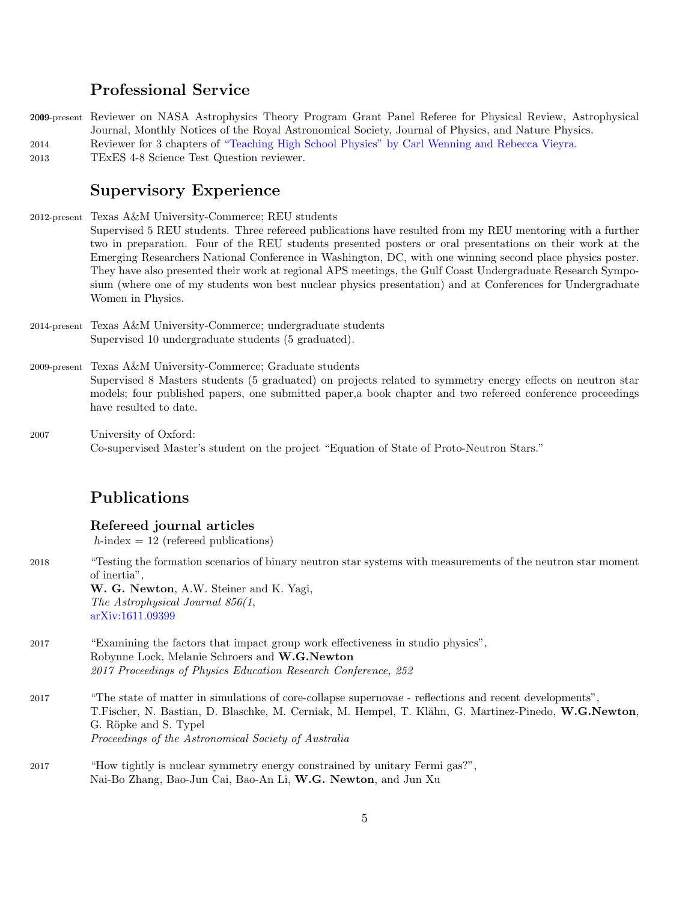### Professional Service

2009-present Reviewer on NASA Astrophysics Theory Program Grant Panel Referee for Physical Review, Astrophysical Journal, Monthly Notices of the Royal Astronomical Society, Journal of Physics, and Nature Physics. 2014 Reviewer for 3 chapters of ["Teaching High School Physics" by Carl Wenning and Rebecca Vieyra.](https://sites.google.com/site/teachinghighschoolphysics/)

2013 TExES 4-8 Science Test Question reviewer.

## Supervisory Experience

2012-present Texas A&M University-Commerce; REU students

Supervised 5 REU students. Three refereed publications have resulted from my REU mentoring with a further two in preparation. Four of the REU students presented posters or oral presentations on their work at the Emerging Researchers National Conference in Washington, DC, with one winning second place physics poster. They have also presented their work at regional APS meetings, the Gulf Coast Undergraduate Research Symposium (where one of my students won best nuclear physics presentation) and at Conferences for Undergraduate Women in Physics.

2014-present Texas A&M University-Commerce; undergraduate students Supervised 10 undergraduate students (5 graduated).

# 2009-present Texas A&M University-Commerce; Graduate students

Supervised 8 Masters students (5 graduated) on projects related to symmetry energy effects on neutron star models; four published papers, one submitted paper,a book chapter and two refereed conference proceedings have resulted to date.

2007 University of Oxford: Co-supervised Master's student on the project "Equation of State of Proto-Neutron Stars."

## Publications

#### Refereed journal articles

 $h$ -index = 12 (refereed publications)

- 2018 "Testing the formation scenarios of binary neutron star systems with measurements of the neutron star moment of inertia", W. G. Newton, A.W. Steiner and K. Yagi, The Astrophysical Journal 856(1, [arXiv:1611.09399](http://arxiv.org/abs/1611.09399) 2017 "Examining the factors that impact group work effectiveness in studio physics", Robynne Lock, Melanie Schroers and W.G.Newton 2017 Proceedings of Physics Education Research Conference, 252
- 2017 "The state of matter in simulations of core-collapse supernovae reflections and recent developments", T.Fischer, N. Bastian, D. Blaschke, M. Cerniak, M. Hempel, T. Klähn, G. Martinez-Pinedo, W.G.Newton, G. Röpke and S. Typel Proceedings of the Astronomical Society of Australia
- 2017 "How tightly is nuclear symmetry energy constrained by unitary Fermi gas?", Nai-Bo Zhang, Bao-Jun Cai, Bao-An Li, W.G. Newton, and Jun Xu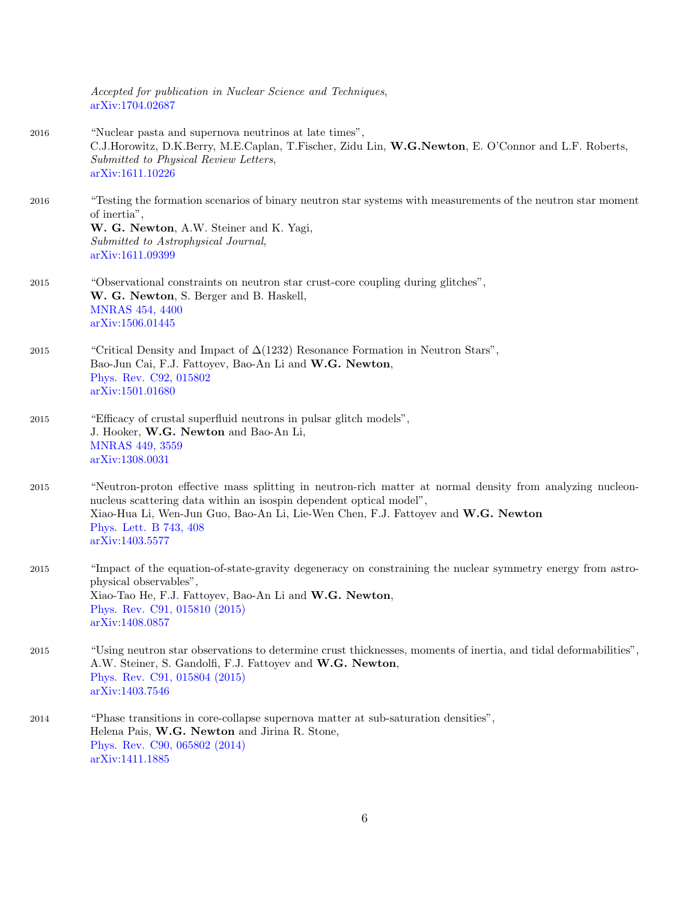|      | Accepted for publication in Nuclear Science and Techniques,<br>arXiv:1704.02687                                                                                                                                                                                                                                   |
|------|-------------------------------------------------------------------------------------------------------------------------------------------------------------------------------------------------------------------------------------------------------------------------------------------------------------------|
| 2016 | "Nuclear pasta and supernova neutrinos at late times",<br>C.J.Horowitz, D.K.Berry, M.E.Caplan, T.Fischer, Zidu Lin, W.G.Newton, E. O'Connor and L.F. Roberts,<br>Submitted to Physical Review Letters,<br>arXiv:1611.10226                                                                                        |
| 2016 | "Testing the formation scenarios of binary neutron star systems with measurements of the neutron star moment<br>of inertia",<br>W. G. Newton, A.W. Steiner and K. Yagi,<br>Submitted to Astrophysical Journal,<br>arXiv:1611.09399                                                                                |
| 2015 | "Observational constraints on neutron star crust-core coupling during glitches",<br>W. G. Newton, S. Berger and B. Haskell,<br><b>MNRAS 454, 4400</b><br>arXiv:1506.01445                                                                                                                                         |
| 2015 | "Critical Density and Impact of $\Delta(1232)$ Resonance Formation in Neutron Stars",<br>Bao-Jun Cai, F.J. Fattoyev, Bao-An Li and W.G. Newton,<br>Phys. Rev. C92, 015802<br>arXiv:1501.01680                                                                                                                     |
| 2015 | "Efficacy of crustal superfluid neutrons in pulsar glitch models",<br>J. Hooker, W.G. Newton and Bao-An Li,<br><b>MNRAS 449, 3559</b><br>arXiv:1308.0031                                                                                                                                                          |
| 2015 | "Neutron-proton effective mass splitting in neutron-rich matter at normal density from analyzing nucleon-<br>nucleus scattering data within an isospin dependent optical model",<br>Xiao-Hua Li, Wen-Jun Guo, Bao-An Li, Lie-Wen Chen, F.J. Fattoyev and W.G. Newton<br>Phys. Lett. B 743, 408<br>arXiv:1403.5577 |
| 2015 | "Impact of the equation-of-state-gravity degeneracy on constraining the nuclear symmetry energy from astro-<br>physical observables",<br>Xiao-Tao He, F.J. Fattoyev, Bao-An Li and W.G. Newton,<br>Phys. Rev. C91, 015810 (2015)<br>arXiv:1408.0857                                                               |
| 2015 | "Using neutron star observations to determine crust thicknesses, moments of inertia, and tidal deformabilities",<br>A.W. Steiner, S. Gandolfi, F.J. Fattoyev and W.G. Newton,<br>Phys. Rev. C91, 015804 (2015)<br>arXiv:1403.7546                                                                                 |
| 2014 | "Phase transitions in core-collapse supernova matter at sub-saturation densities",<br>Helena Pais, W.G. Newton and Jirina R. Stone,<br>Phys. Rev. C90, 065802 (2014)<br>arXiv:1411.1885                                                                                                                           |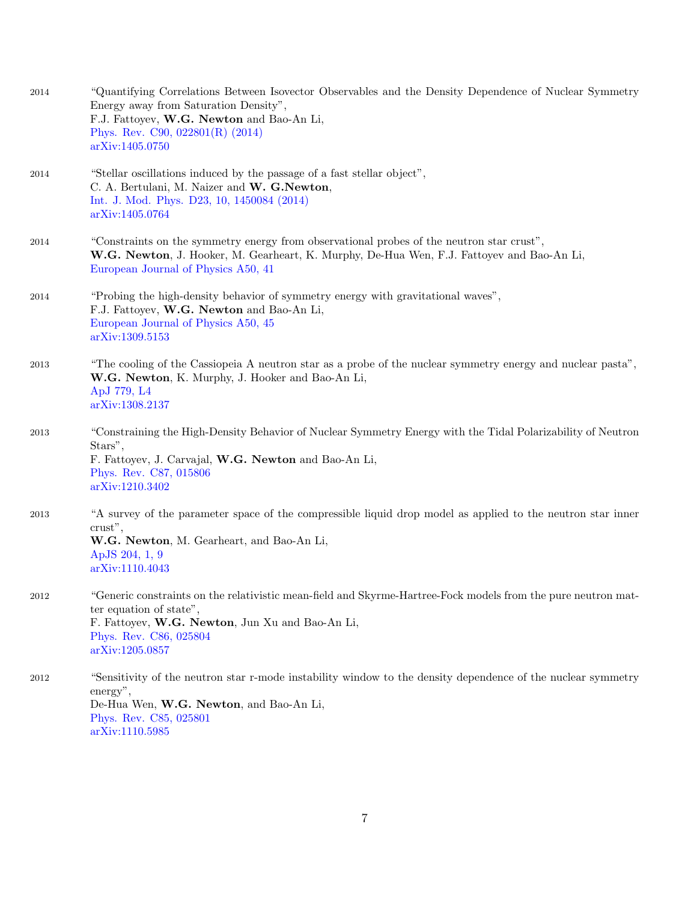| 2014     | "Quantifying Correlations Between Isovector Observables and the Density Dependence of Nuclear Symmetry<br>Energy away from Saturation Density",<br>F.J. Fattoyev, W.G. Newton and Bao-An Li,<br>Phys. Rev. C90, 022801(R) (2014)<br>arXiv:1405.0750 |
|----------|-----------------------------------------------------------------------------------------------------------------------------------------------------------------------------------------------------------------------------------------------------|
| 2014     | "Stellar oscillations induced by the passage of a fast stellar object",<br>C. A. Bertulani, M. Naizer and W. G. Newton,<br>Int. J. Mod. Phys. D23, 10, 1450084 (2014)<br>arXiv:1405.0764                                                            |
| 2014     | "Constraints on the symmetry energy from observational probes of the neutron star crust",<br>W.G. Newton, J. Hooker, M. Gearheart, K. Murphy, De-Hua Wen, F.J. Fattoyev and Bao-An Li,<br>European Journal of Physics A50, 41                       |
| 2014     | "Probing the high-density behavior of symmetry energy with gravitational waves",<br>F.J. Fattoyev, W.G. Newton and Bao-An Li,<br>European Journal of Physics A50, 45<br>arXiv:1309.5153                                                             |
| 2013     | "The cooling of the Cassiopeia A neutron star as a probe of the nuclear symmetry energy and nuclear pasta",<br>W.G. Newton, K. Murphy, J. Hooker and Bao-An Li,<br>ApJ 779, L4<br>arXiv:1308.2137                                                   |
| 2013     | "Constraining the High-Density Behavior of Nuclear Symmetry Energy with the Tidal Polarizability of Neutron<br>Stars",<br>F. Fattoyev, J. Carvajal, W.G. Newton and Bao-An Li,<br>Phys. Rev. C87, 015806<br>arXiv:1210.3402                         |
| 2013     | "A survey of the parameter space of the compressible liquid drop model as applied to the neutron star inner<br>crust",<br>W.G. Newton, M. Gearheart, and Bao-An Li,<br>ApJS 204, 1, 9<br>arXiv:1110.4043                                            |
| $\,2012$ | "Generic constraints on the relativistic mean-field and Skyrme-Hartree-Fock models from the pure neutron mat-<br>ter equation of state",<br>F. Fattoyev, W.G. Newton, Jun Xu and Bao-An Li,<br>Phys. Rev. C86, 025804<br>arXiv:1205.0857            |
| 2012     | "Sensitivity of the neutron star r-mode instability window to the density dependence of the nuclear symmetry<br>energy",<br>De-Hua Wen, W.G. Newton, and Bao-An Li,<br>Phys. Rev. C85, 025801<br>arXiv:1110.5985                                    |

7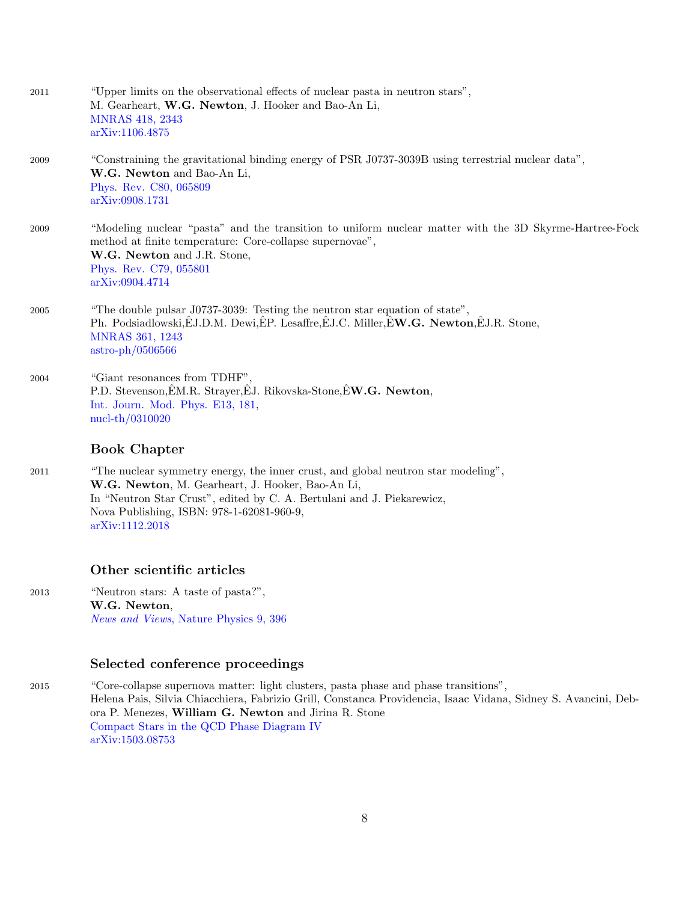| 2011 | "Upper limits on the observational effects of nuclear pasta in neutron stars",<br>M. Gearheart, W.G. Newton, J. Hooker and Bao-An Li,<br><b>MNRAS 418, 2343</b><br>arXiv:1106.4875                                                             |
|------|------------------------------------------------------------------------------------------------------------------------------------------------------------------------------------------------------------------------------------------------|
| 2009 | "Constraining the gravitational binding energy of PSR J0737-3039B using terrestrial nuclear data",<br>W.G. Newton and Bao-An Li,<br>Phys. Rev. C80, 065809<br>arXiv:0908.1731                                                                  |
| 2009 | "Modeling nuclear "pasta" and the transition to uniform nuclear matter with the 3D Skyrme-Hartree-Fock<br>method at finite temperature: Core-collapse supernovae",<br>W.G. Newton and J.R. Stone,<br>Phys. Rev. C79, 055801<br>arXiv:0904.4714 |
| 2005 | "The double pulsar J0737-3039: Testing the neutron star equation of state",<br>Ph. Podsiadlowski, EJ.D.M. Dewi, EP. Lesaffre, EJ.C. Miller, EW.G. Newton, EJ.R. Stone,<br><b>MNRAS 361, 1243</b><br>$astro-ph/0506566$                         |
| 2004 | "Giant resonances from TDHF",<br>P.D. Stevenson, E.M.R. Strayer, E.J. Rikovska-Stone, E.W.G. Newton,<br>Int. Journ. Mod. Phys. E13, 181,<br>$nucl-th/0310020$                                                                                  |

### Book Chapter

2011 "The nuclear symmetry energy, the inner crust, and global neutron star modeling", W.G. Newton, M. Gearheart, J. Hooker, Bao-An Li, In "Neutron Star Crust", edited by C. A. Bertulani and J. Piekarewicz, Nova Publishing, ISBN: 978-1-62081-960-9, [arXiv:1112.2018](http://arxiv.org/abs/1112.2018)

#### Other scientific articles

2013 "Neutron stars: A taste of pasta?", W.G. Newton, News and Views[, Nature Physics 9, 396](http://www.nature.com/nphys/journal/v9/n7/full/nphys2663.html)

### Selected conference proceedings

2015 "Core-collapse supernova matter: light clusters, pasta phase and phase transitions", Helena Pais, Silvia Chiacchiera, Fabrizio Grill, Constanca Providencia, Isaac Vidana, Sidney S. Avancini, Debora P. Menezes, William G. Newton and Jirina R. Stone [Compact Stars in the QCD Phase Diagram IV](http://www.ift.uni.wroc.pl/%7Ecsqcdiv/) [arXiv:1503.08753](http://arxiv.org/abs/1503.08753)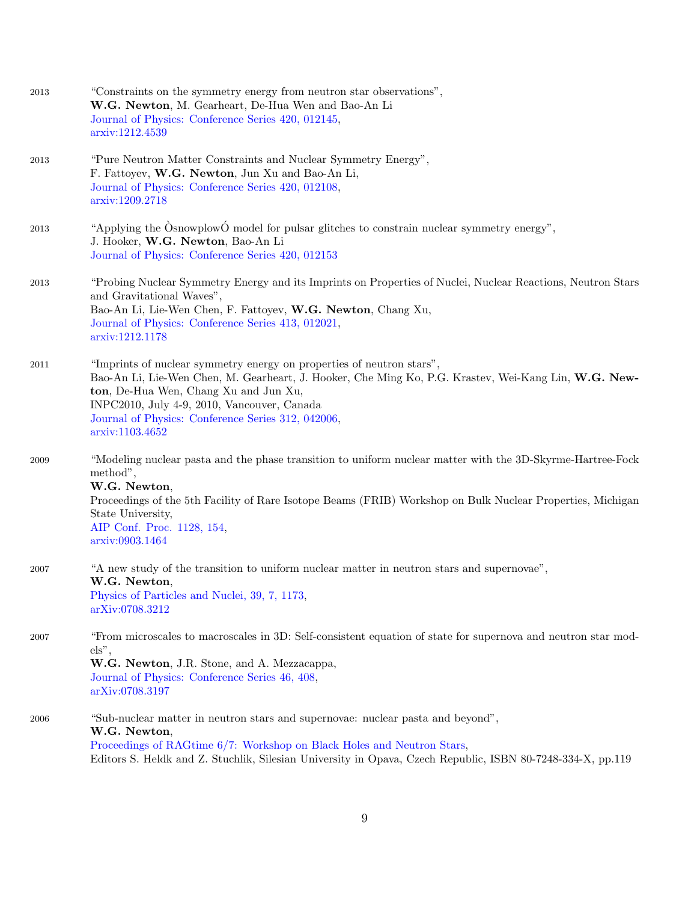| 2013 | "Constraints on the symmetry energy from neutron star observations",<br>W.G. Newton, M. Gearheart, De-Hua Wen and Bao-An Li<br>Journal of Physics: Conference Series 420, 012145,<br>arxiv:1212.4539                                                                                                                                           |
|------|------------------------------------------------------------------------------------------------------------------------------------------------------------------------------------------------------------------------------------------------------------------------------------------------------------------------------------------------|
| 2013 | "Pure Neutron Matter Constraints and Nuclear Symmetry Energy",<br>F. Fattoyev, W.G. Newton, Jun Xu and Bao-An Li,<br>Journal of Physics: Conference Series 420, 012108,<br>arxiv:1209.2718                                                                                                                                                     |
| 2013 | "Applying the $\hat{O}$ snowplow $\hat{O}$ model for pulsar glitches to constrain nuclear symmetry energy",<br>J. Hooker, W.G. Newton, Bao-An Li<br>Journal of Physics: Conference Series 420, 012153                                                                                                                                          |
| 2013 | "Probing Nuclear Symmetry Energy and its Imprints on Properties of Nuclei, Nuclear Reactions, Neutron Stars<br>and Gravitational Waves",<br>Bao-An Li, Lie-Wen Chen, F. Fattoyev, W.G. Newton, Chang Xu,<br>Journal of Physics: Conference Series 413, 012021,<br>arxiv:1212.1178                                                              |
| 2011 | "Imprints of nuclear symmetry energy on properties of neutron stars",<br>Bao-An Li, Lie-Wen Chen, M. Gearheart, J. Hooker, Che Ming Ko, P.G. Krastev, Wei-Kang Lin, W.G. New-<br>ton, De-Hua Wen, Chang Xu and Jun Xu,<br>INPC2010, July 4-9, 2010, Vancouver, Canada<br>Journal of Physics: Conference Series 312, 042006,<br>arxiv:1103.4652 |
| 2009 | "Modeling nuclear pasta and the phase transition to uniform nuclear matter with the 3D-Skyrme-Hartree-Fock<br>method",<br>W.G. Newton,<br>Proceedings of the 5th Facility of Rare Isotope Beams (FRIB) Workshop on Bulk Nuclear Properties, Michigan<br>State University,<br>AIP Conf. Proc. 1128, 154,<br>arxiv:0903.1464                     |
| 2007 | "A new study of the transition to uniform nuclear matter in neutron stars and supernovae",<br>W.G. Newton,<br>Physics of Particles and Nuclei, 39, 7, 1173,<br>arXiv:0708.3212                                                                                                                                                                 |
| 2007 | "From microscales to macroscales in 3D: Self-consistent equation of state for supernova and neutron star mod-<br>$els$ ",<br>W.G. Newton, J.R. Stone, and A. Mezzacappa,<br>Journal of Physics: Conference Series 46, 408,<br>arXiv:0708.3197                                                                                                  |
| 2006 | "Sub-nuclear matter in neutron stars and supernovae: nuclear pasta and beyond",<br>W.G. Newton,<br>Proceedings of RAGtime 6/7: Workshop on Black Holes and Neutron Stars,<br>Editors S. Heldk and Z. Stuchlik, Silesian University in Opava, Czech Republic, ISBN 80-7248-334-X, pp.119                                                        |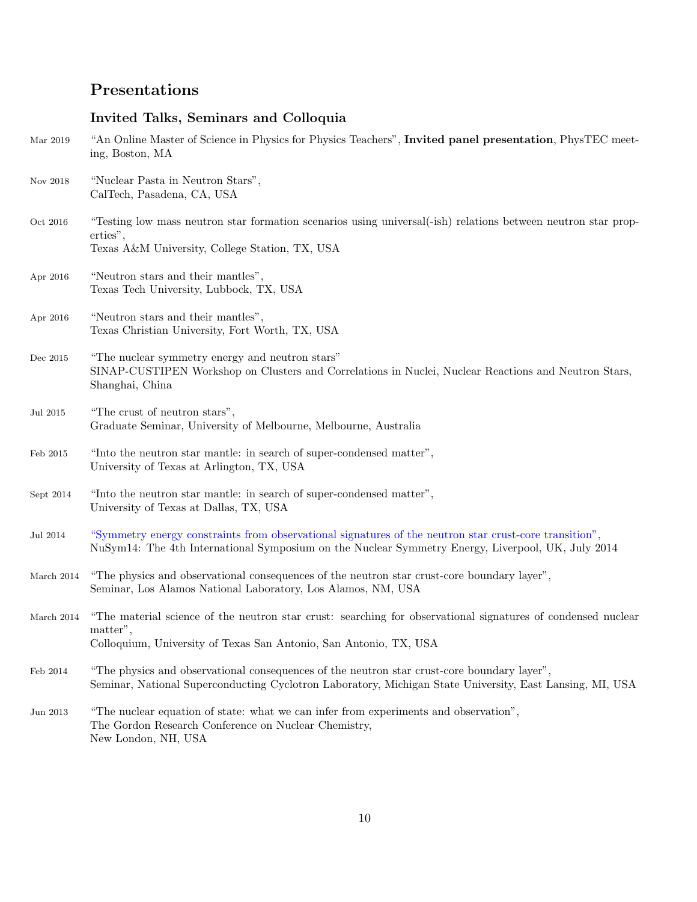# Presentations

## Invited Talks, Seminars and Colloquia

| Mar 2019        | "An Online Master of Science in Physics for Physics Teachers", Invited panel presentation, PhysTEC meet-<br>ing, Boston, MA                                                                                 |
|-----------------|-------------------------------------------------------------------------------------------------------------------------------------------------------------------------------------------------------------|
| Nov 2018        | "Nuclear Pasta in Neutron Stars",<br>CalTech, Pasadena, CA, USA                                                                                                                                             |
| Oct 2016        | "Testing low mass neutron star formation scenarios using universal(-ish) relations between neutron star prop-<br>erties",<br>Texas A&M University, College Station, TX, USA                                 |
| Apr 2016        | "Neutron stars and their mantles",<br>Texas Tech University, Lubbock, TX, USA                                                                                                                               |
| Apr 2016        | "Neutron stars and their mantles",<br>Texas Christian University, Fort Worth, TX, USA                                                                                                                       |
| Dec 2015        | "The nuclear symmetry energy and neutron stars"<br>SINAP-CUSTIPEN Workshop on Clusters and Correlations in Nuclei, Nuclear Reactions and Neutron Stars,<br>Shanghai, China                                  |
| Jul 2015        | "The crust of neutron stars",<br>Graduate Seminar, University of Melbourne, Melbourne, Australia                                                                                                            |
| Feb 2015        | "Into the neutron star mantle: in search of super-condensed matter",<br>University of Texas at Arlington, TX, USA                                                                                           |
| Sept 2014       | "Into the neutron star mantle: in search of super-condensed matter",<br>University of Texas at Dallas, TX, USA                                                                                              |
| <b>Jul 2014</b> | "Symmetry energy constraints from observational signatures of the neutron star crust-core transition",<br>NuSym14: The 4th International Symposium on the Nuclear Symmetry Energy, Liverpool, UK, July 2014 |
| March $2014$    | "The physics and observational consequences of the neutron star crust-core boundary layer",<br>Seminar, Los Alamos National Laboratory, Los Alamos, NM, USA                                                 |
| March 2014      | "The material science of the neutron star crust: searching for observational signatures of condensed nuclear<br>matter",<br>Colloquium, University of Texas San Antonio, San Antonio, TX, USA               |
| Feb 2014        | "The physics and observational consequences of the neutron star crust-core boundary layer",<br>Seminar, National Superconducting Cyclotron Laboratory, Michigan State University, East Lansing, MI, USA     |
| Jun 2013        | "The nuclear equation of state: what we can infer from experiments and observation",<br>The Gordon Research Conference on Nuclear Chemistry,<br>New London, NH, USA                                         |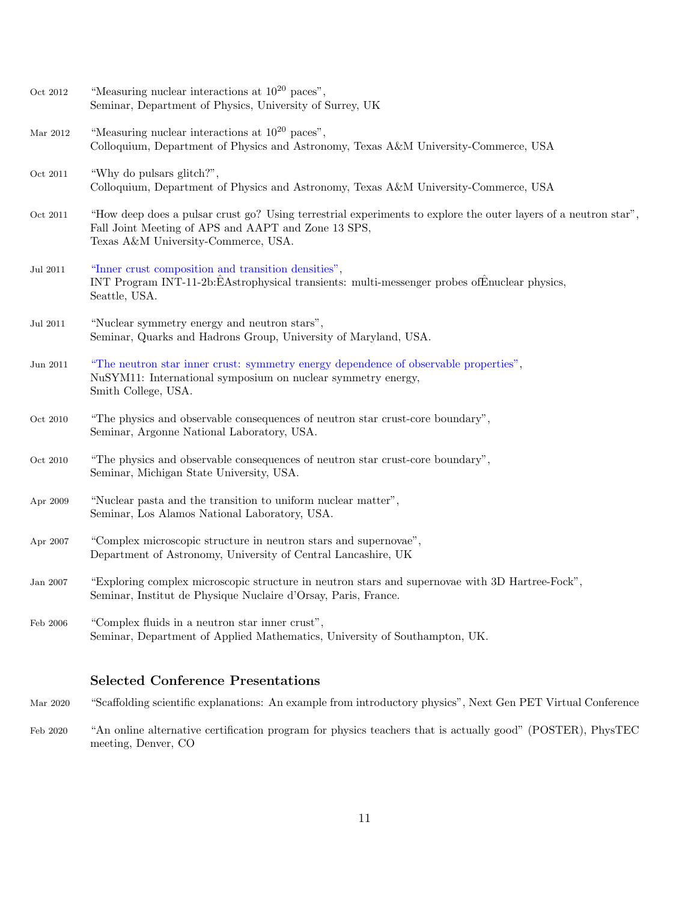| Oct 2012     | "Measuring nuclear interactions at $10^{20}$ paces".<br>Seminar, Department of Physics, University of Surrey, UK                                                                                              |
|--------------|---------------------------------------------------------------------------------------------------------------------------------------------------------------------------------------------------------------|
| Mar 2012     | "Measuring nuclear interactions at $10^{20}$ paces",<br>Colloquium, Department of Physics and Astronomy, Texas A&M University-Commerce, USA                                                                   |
| Oct 2011     | "Why do pulsars glitch?",<br>Colloquium, Department of Physics and Astronomy, Texas A&M University-Commerce, USA                                                                                              |
| Oct 2011     | "How deep does a pulsar crust go? Using terrestrial experiments to explore the outer layers of a neutron star",<br>Fall Joint Meeting of APS and AAPT and Zone 13 SPS,<br>Texas A&M University-Commerce, USA. |
| Jul 2011     | "Inner crust composition and transition densities",<br>INT Program INT-11-2b:EAstrophysical transients: multi-messenger probes ofEnuclear physics,<br>Seattle, USA.                                           |
| Jul 2011     | "Nuclear symmetry energy and neutron stars",<br>Seminar, Quarks and Hadrons Group, University of Maryland, USA.                                                                                               |
| Jun 2011     | "The neutron star inner crust: symmetry energy dependence of observable properties",<br>NuSYM11: International symposium on nuclear symmetry energy,<br>Smith College, USA.                                   |
| Oct 2010     | "The physics and observable consequences of neutron star crust-core boundary",<br>Seminar, Argonne National Laboratory, USA.                                                                                  |
| Oct 2010     | "The physics and observable consequences of neutron star crust-core boundary",<br>Seminar, Michigan State University, USA.                                                                                    |
| Apr 2009     | "Nuclear pasta and the transition to uniform nuclear matter",<br>Seminar, Los Alamos National Laboratory, USA.                                                                                                |
| Apr $2007\,$ | "Complex microscopic structure in neutron stars and supernovae",<br>Department of Astronomy, University of Central Lancashire, UK                                                                             |
| Jan 2007     | "Exploring complex microscopic structure in neutron stars and supernovae with 3D Hartree-Fock",<br>Seminar, Institut de Physique Nuclaire d'Orsay, Paris, France.                                             |
| Feb 2006     | "Complex fluids in a neutron star inner crust",<br>Seminar, Department of Applied Mathematics, University of Southampton, UK.                                                                                 |
|              |                                                                                                                                                                                                               |

### Selected Conference Presentations

Mar 2020 "Scaffolding scientific explanations: An example from introductory physics", Next Gen PET Virtual Conference

Feb 2020 "An online alternative certification program for physics teachers that is actually good" (POSTER), PhysTEC meeting, Denver, CO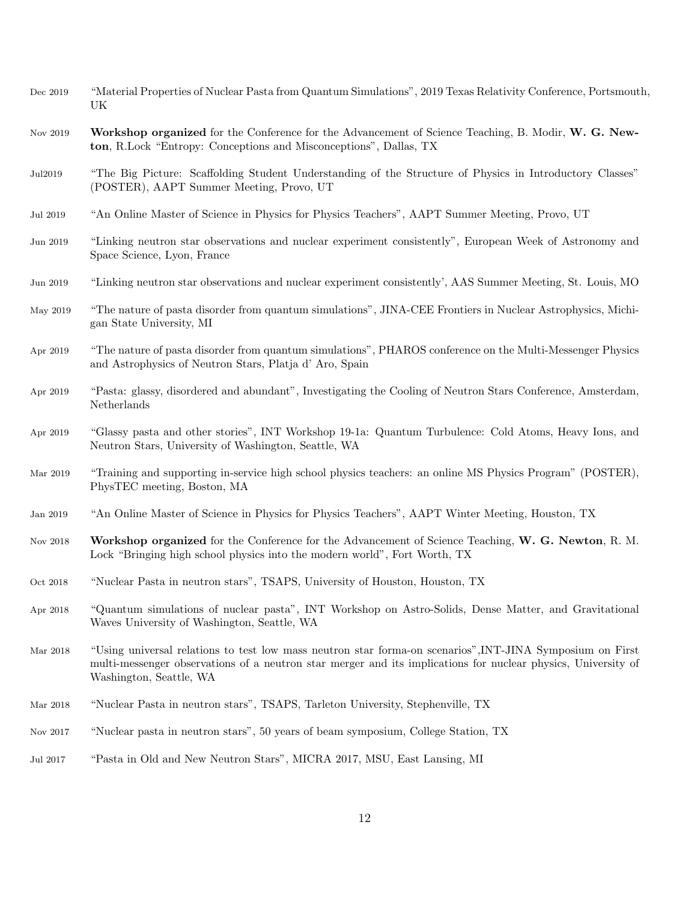| Dec 2019     | "Material Properties of Nuclear Pasta from Quantum Simulations", 2019 Texas Relativity Conference, Portsmouth,<br>UK                                                                                                                                  |
|--------------|-------------------------------------------------------------------------------------------------------------------------------------------------------------------------------------------------------------------------------------------------------|
| Nov 2019     | Workshop organized for the Conference for the Advancement of Science Teaching, B. Modir, W. G. New-<br>ton, R.Lock "Entropy: Conceptions and Misconceptions", Dallas, TX                                                                              |
| Jul2019      | "The Big Picture: Scaffolding Student Understanding of the Structure of Physics in Introductory Classes"<br>(POSTER), AAPT Summer Meeting, Provo, UT                                                                                                  |
| Jul 2019     | "An Online Master of Science in Physics for Physics Teachers", AAPT Summer Meeting, Provo, UT                                                                                                                                                         |
| Jun 2019     | "Linking neutron star observations and nuclear experiment consistently", European Week of Astronomy and<br>Space Science, Lyon, France                                                                                                                |
| Jun 2019     | "Linking neutron star observations and nuclear experiment consistently', AAS Summer Meeting, St. Louis, MO                                                                                                                                            |
| May 2019     | "The nature of pasta disorder from quantum simulations", JINA-CEE Frontiers in Nuclear Astrophysics, Michi-<br>gan State University, MI                                                                                                               |
| Apr 2019     | "The nature of pasta disorder from quantum simulations", PHAROS conference on the Multi-Messenger Physics<br>and Astrophysics of Neutron Stars, Platja d' Aro, Spain                                                                                  |
| Apr 2019     | "Pasta: glassy, disordered and abundant", Investigating the Cooling of Neutron Stars Conference, Amsterdam,<br>Netherlands                                                                                                                            |
| Apr 2019     | "Glassy pasta and other stories", INT Workshop 19-1a: Quantum Turbulence: Cold Atoms, Heavy Ions, and<br>Neutron Stars, University of Washington, Seattle, WA                                                                                         |
| Mar $2019\,$ | "Training and supporting in-service high school physics teachers: an online MS Physics Program" (POSTER),<br>PhysTEC meeting, Boston, MA                                                                                                              |
| Jan 2019     | "An Online Master of Science in Physics for Physics Teachers", AAPT Winter Meeting, Houston, TX                                                                                                                                                       |
| Nov $2018\,$ | Workshop organized for the Conference for the Advancement of Science Teaching, W. G. Newton, R. M.<br>Lock "Bringing high school physics into the modern world", Fort Worth, TX                                                                       |
| Oct 2018     | "Nuclear Pasta in neutron stars", TSAPS, University of Houston, Houston, TX                                                                                                                                                                           |
| Apr 2018     | "Quantum simulations of nuclear pasta", INT Workshop on Astro-Solids, Dense Matter, and Gravitational<br>Waves University of Washington, Seattle, WA                                                                                                  |
| Mar $2018$   | "Using universal relations to test low mass neutron star forma-on scenarios", INT-JINA Symposium on First<br>multi-messenger observations of a neutron star merger and its implications for nuclear physics, University of<br>Washington, Seattle, WA |
| Mar $2018$   | "Nuclear Pasta in neutron stars", TSAPS, Tarleton University, Stephenville, TX                                                                                                                                                                        |
| Nov $2017\,$ | "Nuclear pasta in neutron stars", 50 years of beam symposium, College Station, TX                                                                                                                                                                     |
| Jul 2017     | "Pasta in Old and New Neutron Stars", MICRA 2017, MSU, East Lansing, MI                                                                                                                                                                               |
|              |                                                                                                                                                                                                                                                       |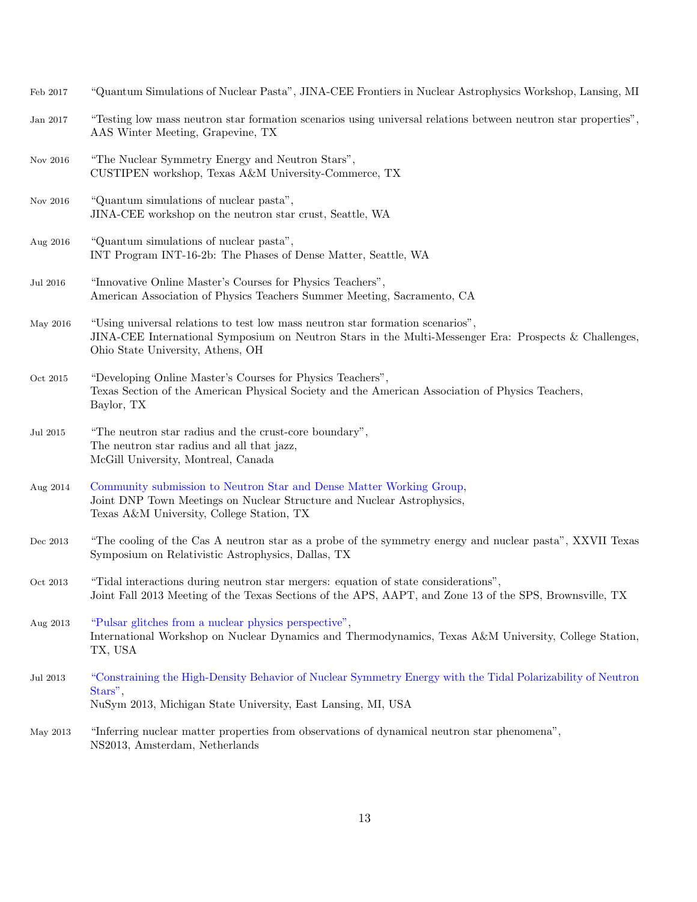| $\rm{Feb}$ $2017$ | "Quantum Simulations of Nuclear Pasta", JINA-CEE Frontiers in Nuclear Astrophysics Workshop, Lansing, MI                                                                                                                     |
|-------------------|------------------------------------------------------------------------------------------------------------------------------------------------------------------------------------------------------------------------------|
| Jan $2017\,$      | "Testing low mass neutron star formation scenarios using universal relations between neutron star properties",<br>AAS Winter Meeting, Grapevine, TX                                                                          |
| Nov $2016\,$      | "The Nuclear Symmetry Energy and Neutron Stars",<br>CUSTIPEN workshop, Texas A&M University-Commerce, TX                                                                                                                     |
| Nov $2016\,$      | "Quantum simulations of nuclear pasta",<br>JINA-CEE workshop on the neutron star crust, Seattle, WA                                                                                                                          |
| Aug 2016          | "Quantum simulations of nuclear pasta",<br>INT Program INT-16-2b: The Phases of Dense Matter, Seattle, WA                                                                                                                    |
| <b>Jul 2016</b>   | "Innovative Online Master's Courses for Physics Teachers",<br>American Association of Physics Teachers Summer Meeting, Sacramento, CA                                                                                        |
| May 2016          | "Using universal relations to test low mass neutron star formation scenarios",<br>JINA-CEE International Symposium on Neutron Stars in the Multi-Messenger Era: Prospects & Challenges,<br>Ohio State University, Athens, OH |
| Oct 2015          | "Developing Online Master's Courses for Physics Teachers",<br>Texas Section of the American Physical Society and the American Association of Physics Teachers,<br>Baylor, TX                                                 |
| Jul $2015\,$      | "The neutron star radius and the crust-core boundary",<br>The neutron star radius and all that jazz,<br>McGill University, Montreal, Canada                                                                                  |
| Aug 2014          | Community submission to Neutron Star and Dense Matter Working Group,<br>Joint DNP Town Meetings on Nuclear Structure and Nuclear Astrophysics,<br>Texas A&M University, College Station, TX                                  |
| Dec 2013          | "The cooling of the Cas A neutron star as a probe of the symmetry energy and nuclear pasta", XXVII Texas<br>Symposium on Relativistic Astrophysics, Dallas, TX                                                               |
| Oct 2013          | "Tidal interactions during neutron star mergers: equation of state considerations",<br>Joint Fall 2013 Meeting of the Texas Sections of the APS, AAPT, and Zone 13 of the SPS, Brownsville, TX                               |
| Aug 2013          | "Pulsar glitches from a nuclear physics perspective",<br>International Workshop on Nuclear Dynamics and Thermodynamics, Texas A&M University, College Station,<br>TX, USA                                                    |
| <b>Jul 2013</b>   | "Constraining the High-Density Behavior of Nuclear Symmetry Energy with the Tidal Polarizability of Neutron<br>Stars",<br>NuSym 2013, Michigan State University, East Lansing, MI, USA                                       |
| May 2013          | "Inferring nuclear matter properties from observations of dynamical neutron star phenomena",<br>NS2013, Amsterdam, Netherlands                                                                                               |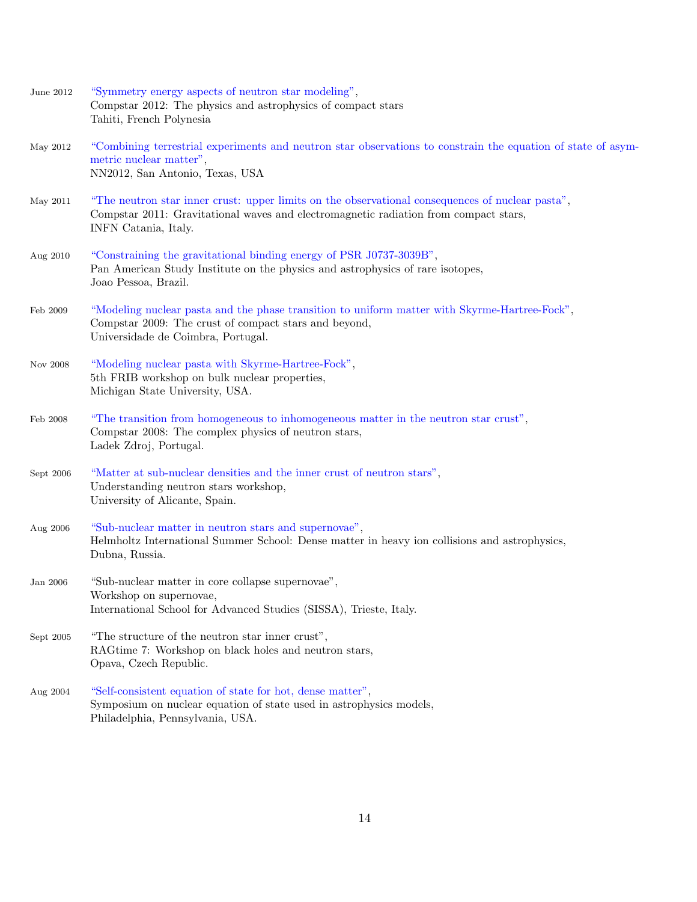| June 2012 | "Symmetry energy aspects of neutron star modeling",<br>Compstar 2012: The physics and astrophysics of compact stars<br>Tahiti, French Polynesia                                                                  |
|-----------|------------------------------------------------------------------------------------------------------------------------------------------------------------------------------------------------------------------|
| May 2012  | "Combining terrestrial experiments and neutron star observations to constrain the equation of state of asym-<br>metric nuclear matter",<br>NN2012, San Antonio, Texas, USA                                       |
| May 2011  | "The neutron star inner crust: upper limits on the observational consequences of nuclear pasta",<br>Compstar 2011: Gravitational waves and electromagnetic radiation from compact stars,<br>INFN Catania, Italy. |
| Aug 2010  | "Constraining the gravitational binding energy of PSR J0737-3039B",<br>Pan American Study Institute on the physics and astrophysics of rare isotopes,<br>Joao Pessoa, Brazil.                                    |
| Feb 2009  | "Modeling nuclear pasta and the phase transition to uniform matter with Skyrme-Hartree-Fock",<br>Compstar 2009: The crust of compact stars and beyond,<br>Universidade de Coimbra, Portugal.                     |
| Nov 2008  | "Modeling nuclear pasta with Skyrme-Hartree-Fock",<br>5th FRIB workshop on bulk nuclear properties,<br>Michigan State University, USA.                                                                           |
| Feb 2008  | "The transition from homogeneous to inhomogeneous matter in the neutron star crust",<br>Compstar 2008: The complex physics of neutron stars,<br>Ladek Zdroj, Portugal.                                           |
| Sept 2006 | "Matter at sub-nuclear densities and the inner crust of neutron stars",<br>Understanding neutron stars workshop,<br>University of Alicante, Spain.                                                               |
| Aug 2006  | "Sub-nuclear matter in neutron stars and supernovae",<br>Helmholtz International Summer School: Dense matter in heavy ion collisions and astrophysics,<br>Dubna, Russia.                                         |
| Jan 2006  | "Sub-nuclear matter in core collapse supernovae",<br>Workshop on supernovae,<br>International School for Advanced Studies (SISSA), Trieste, Italy.                                                               |
| Sept 2005 | "The structure of the neutron star inner crust",<br>RAGtime 7: Workshop on black holes and neutron stars,<br>Opava, Czech Republic.                                                                              |
| Aug 2004  | "Self-consistent equation of state for hot, dense matter",<br>Symposium on nuclear equation of state used in astrophysics models,<br>Philadelphia, Pennsylvania, USA.                                            |